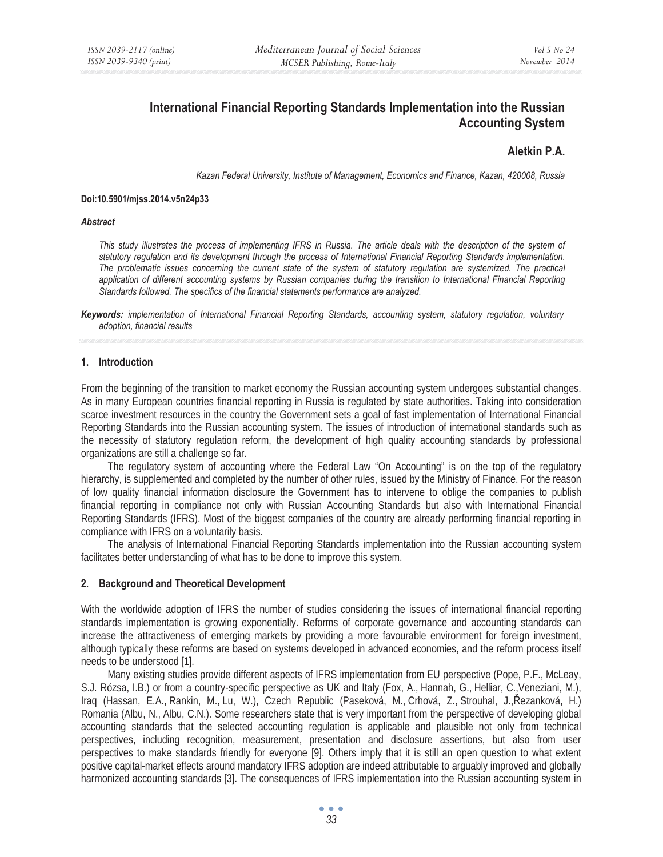# **International Financial Reporting Standards Implementation into the Russian Accounting System**

# **Aletkin P.A.**

*Kazan Federal University, Institute of Management, Economics and Finance, Kazan, 420008, Russia* 

#### **Doi:10.5901/mjss.2014.v5n24p33**

#### *Abstract*

*This study illustrates the process of implementing IFRS in Russia. The article deals with the description of the system of statutory regulation and its development through the process of International Financial Reporting Standards implementation.*  The problematic issues concerning the current state of the system of statutory regulation are systemized. The practical *application of different accounting systems by Russian companies during the transition to International Financial Reporting Standards followed. The specifics of the financial statements performance are analyzed.* 

*Keywords: implementation of International Financial Reporting Standards, accounting system, statutory regulation, voluntary adoption, financial results* 

#### **1. Introduction**

From the beginning of the transition to market economy the Russian accounting system undergoes substantial changes. As in many European countries financial reporting in Russia is regulated by state authorities. Taking into consideration scarce investment resources in the country the Government sets a goal of fast implementation of International Financial Reporting Standards into the Russian accounting system. The issues of introduction of international standards such as the necessity of statutory regulation reform, the development of high quality accounting standards by professional organizations are still a challenge so far.

The regulatory system of accounting where the Federal Law "On Accounting" is on the top of the regulatory hierarchy, is supplemented and completed by the number of other rules, issued by the Ministry of Finance. For the reason of low quality financial information disclosure the Government has to intervene to oblige the companies to publish financial reporting in compliance not only with Russian Accounting Standards but also with International Financial Reporting Standards (IFRS). Most of the biggest companies of the country are already performing financial reporting in compliance with IFRS on a voluntarily basis.

The analysis of International Financial Reporting Standards implementation into the Russian accounting system facilitates better understanding of what has to be done to improve this system.

### **2. Background and Theoretical Development**

With the worldwide adoption of IFRS the number of studies considering the issues of international financial reporting standards implementation is growing exponentially. Reforms of corporate governance and accounting standards can increase the attractiveness of emerging markets by providing a more favourable environment for foreign investment, although typically these reforms are based on systems developed in advanced economies, and the reform process itself needs to be understood [1].

Many existing studies provide different aspects of IFRS implementation from EU perspective (Pope, P.F., McLeay, S.J. Rózsa, I.B.) or from a country-specific perspective as UK and Italy (Fox, A., Hannah, G., Helliar, C.,Veneziani, M.), Iraq (Hassan, E.A., Rankin, M., Lu, W.), Czech Republic (Paseková, M., Crhová, Z., Strouhal, J.,ěezanková, H.) Romania (Albu, N., Albu, C.N.). Some researchers state that is very important from the perspective of developing global accounting standards that the selected accounting regulation is applicable and plausible not only from technical perspectives, including recognition, measurement, presentation and disclosure assertions, but also from user perspectives to make standards friendly for everyone [9]. Others imply that it is still an open question to what extent positive capital-market effects around mandatory IFRS adoption are indeed attributable to arguably improved and globally harmonized accounting standards [3]. The consequences of IFRS implementation into the Russian accounting system in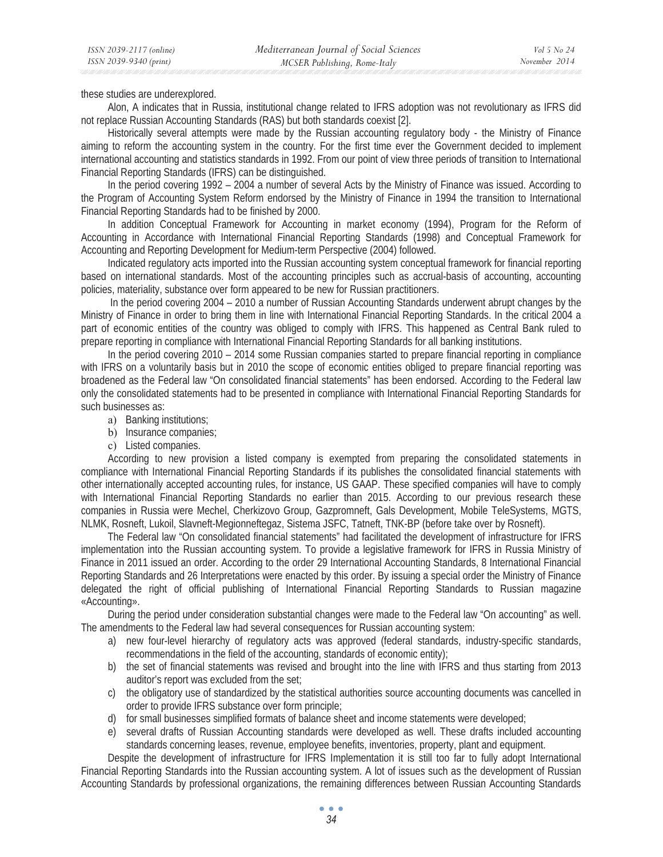these studies are underexplored.

Alon, A indicates that in Russia, institutional change related to IFRS adoption was not revolutionary as IFRS did not replace Russian Accounting Standards (RAS) but both standards coexist [2].

Historically several attempts were made by the Russian accounting regulatory body - the Ministry of Finance aiming to reform the accounting system in the country. For the first time ever the Government decided to implement international accounting and statistics standards in 1992. From our point of view three periods of transition to International Financial Reporting Standards (IFRS) can be distinguished.

In the period covering 1992 – 2004 a number of several Acts by the Ministry of Finance was issued. According to the Program of Accounting System Reform endorsed by the Ministry of Finance in 1994 the transition to International Financial Reporting Standards had to be finished by 2000.

In addition Conceptual Framework for Accounting in market economy (1994), Program for the Reform of Accounting in Accordance with International Financial Reporting Standards (1998) and Conceptual Framework for Accounting and Reporting Development for Medium-term Perspective (2004) followed.

Indicated regulatory acts imported into the Russian accounting system conceptual framework for financial reporting based on international standards. Most of the accounting principles such as accrual-basis of accounting, accounting policies, materiality, substance over form appeared to be new for Russian practitioners.

 In the period covering 2004 – 2010 a number of Russian Accounting Standards underwent abrupt changes by the Ministry of Finance in order to bring them in line with International Financial Reporting Standards. In the critical 2004 a part of economic entities of the country was obliged to comply with IFRS. This happened as Central Bank ruled to prepare reporting in compliance with International Financial Reporting Standards for all banking institutions.

In the period covering 2010 – 2014 some Russian companies started to prepare financial reporting in compliance with IFRS on a voluntarily basis but in 2010 the scope of economic entities obliged to prepare financial reporting was broadened as the Federal law "On consolidated financial statements" has been endorsed. According to the Federal law only the consolidated statements had to be presented in compliance with International Financial Reporting Standards for such businesses as:

- a) Banking institutions;
- b) Insurance companies;
- c) Listed companies.

According to new provision a listed company is exempted from preparing the consolidated statements in compliance with International Financial Reporting Standards if its publishes the consolidated financial statements with other internationally accepted accounting rules, for instance, US GAAP. These specified companies will have to comply with International Financial Reporting Standards no earlier than 2015. According to our previous research these companies in Russia were Mechel, Cherkizovo Group, Gazpromneft, Gals Development, Mobile TeleSystems, MGTS, NLMK, Rosneft, Lukoil, Slavneft-Megionneftegaz, Sistema JSFC, Tatneft, TNK-BP (before take over by Rosneft).

The Federal law "On consolidated financial statements" had facilitated the development of infrastructure for IFRS implementation into the Russian accounting system. To provide a legislative framework for IFRS in Russia Ministry of Finance in 2011 issued an order. According to the order 29 International Accounting Standards, 8 International Financial Reporting Standards and 26 Interpretations were enacted by this order. By issuing a special order the Ministry of Finance delegated the right of official publishing of International Financial Reporting Standards to Russian magazine «Accounting».

During the period under consideration substantial changes were made to the Federal law "On accounting" as well. The amendments to the Federal law had several consequences for Russian accounting system:

- a) new four-level hierarchy of regulatory acts was approved (federal standards, industry-specific standards, recommendations in the field of the accounting, standards of economic entity);
- b) the set of financial statements was revised and brought into the line with IFRS and thus starting from 2013 auditor's report was excluded from the set;
- c) the obligatory use of standardized by the statistical authorities source accounting documents was cancelled in order to provide IFRS substance over form principle;
- d) for small businesses simplified formats of balance sheet and income statements were developed;
- e) several drafts of Russian Accounting standards were developed as well. These drafts included accounting standards concerning leases, revenue, employee benefits, inventories, property, plant and equipment.

Despite the development of infrastructure for IFRS Implementation it is still too far to fully adopt International Financial Reporting Standards into the Russian accounting system. A lot of issues such as the development of Russian Accounting Standards by professional organizations, the remaining differences between Russian Accounting Standards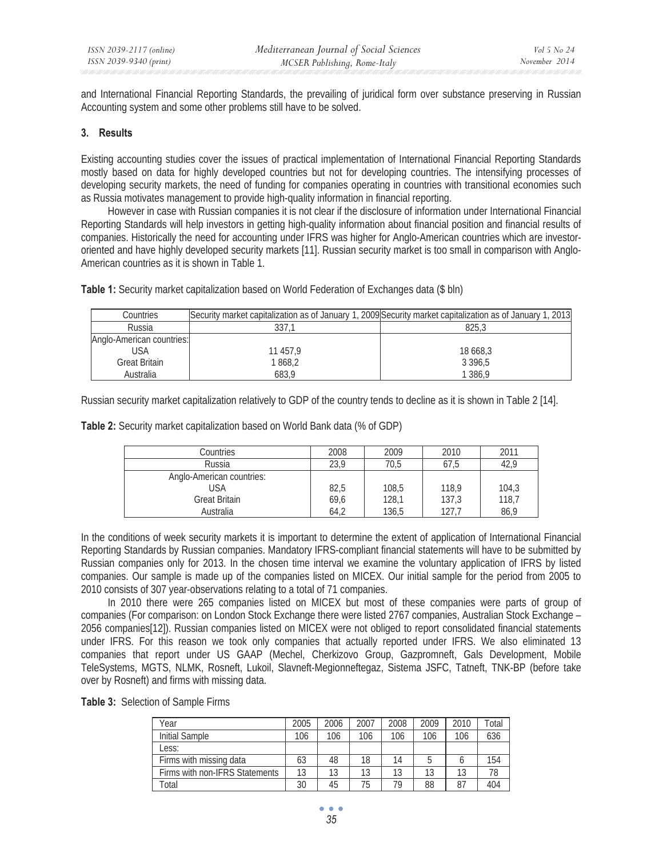and International Financial Reporting Standards, the prevailing of juridical form over substance preserving in Russian Accounting system and some other problems still have to be solved.

## **3. Results**

Existing accounting studies cover the issues of practical implementation of International Financial Reporting Standards mostly based on data for highly developed countries but not for developing countries. The intensifying processes of developing security markets, the need of funding for companies operating in countries with transitional economies such as Russia motivates management to provide high-quality information in financial reporting.

However in case with Russian companies it is not clear if the disclosure of information under International Financial Reporting Standards will help investors in getting high-quality information about financial position and financial results of companies. Historically the need for accounting under IFRS was higher for Anglo-American countries which are investororiented and have highly developed security markets [11]. Russian security market is too small in comparison with Anglo-American countries as it is shown in Table 1.

| Countries                 | Security market capitalization as of January 1, 2009 Security market capitalization as of January 1, 2013 |            |
|---------------------------|-----------------------------------------------------------------------------------------------------------|------------|
| Russia                    |                                                                                                           | 825.3      |
| Anglo-American countries: |                                                                                                           |            |
| USA                       | 11 457.9                                                                                                  | 18 668.3   |
| <b>Great Britain</b>      | 1 868,2                                                                                                   | 3 3 9 6 .5 |
| Australia                 | 683.9                                                                                                     | 1 386.9    |

**Table 1:** Security market capitalization based on World Federation of Exchanges data (\$ bln)

Russian security market capitalization relatively to GDP of the country tends to decline as it is shown in Table 2 [14].

**Table 2:** Security market capitalization based on World Bank data (% of GDP)

| Countries                 | 2008 | 2009  | 2010  | 2011  |
|---------------------------|------|-------|-------|-------|
| Russia                    | 23,9 | 70.5  | 67.5  | 42.9  |
| Anglo-American countries: |      |       |       |       |
| USA                       | 82,5 | 108,5 | 118,9 | 104,3 |
| <b>Great Britain</b>      | 69,6 | 128.1 | 137,3 | 118,7 |
| Australia                 | 64,2 | 136,5 | 127.7 | 86,9  |

In the conditions of week security markets it is important to determine the extent of application of International Financial Reporting Standards by Russian companies. Mandatory IFRS-compliant financial statements will have to be submitted by Russian companies only for 2013. In the chosen time interval we examine the voluntary application of IFRS by listed companies. Our sample is made up of the companies listed on MICEX. Our initial sample for the period from 2005 to 2010 consists of 307 year-observations relating to a total of 71 companies.

In 2010 there were 265 companies listed on MICEX but most of these companies were parts of group of companies (For comparison: on London Stock Exchange there were listed 2767 companies, Australian Stock Exchange – 2056 companies[12]). Russian companies listed on MICEX were not obliged to report consolidated financial statements under IFRS. For this reason we took only companies that actually reported under IFRS. We also eliminated 13 companies that report under US GAAP (Mechel, Cherkizovo Group, Gazpromneft, Gals Development, Mobile TeleSystems, MGTS, NLMK, Rosneft, Lukoil, Slavneft-Megionneftegaz, Sistema JSFC, Tatneft, TNK-BP (before take over by Rosneft) and firms with missing data.

|  | Table 3: Selection of Sample Firms |  |  |
|--|------------------------------------|--|--|
|--|------------------------------------|--|--|

| Year                           | 2005 | 2006 | 2007 | 2008 | 2009 | 2010 | Гоtal |
|--------------------------------|------|------|------|------|------|------|-------|
| Initial Sample                 | 106  | 106  | 106  | 106  | 106  | 106  | 636   |
| Less:                          |      |      |      |      |      |      |       |
| Firms with missing data        | 63   | 48   | 18   | 14   |      |      | 154   |
| Firms with non-IFRS Statements | 13   | 13   | 13   | 13   | 13   | 13   | 78    |
| Total                          | 30   | 45   | 75   | 79   | 88   | 87   | 404   |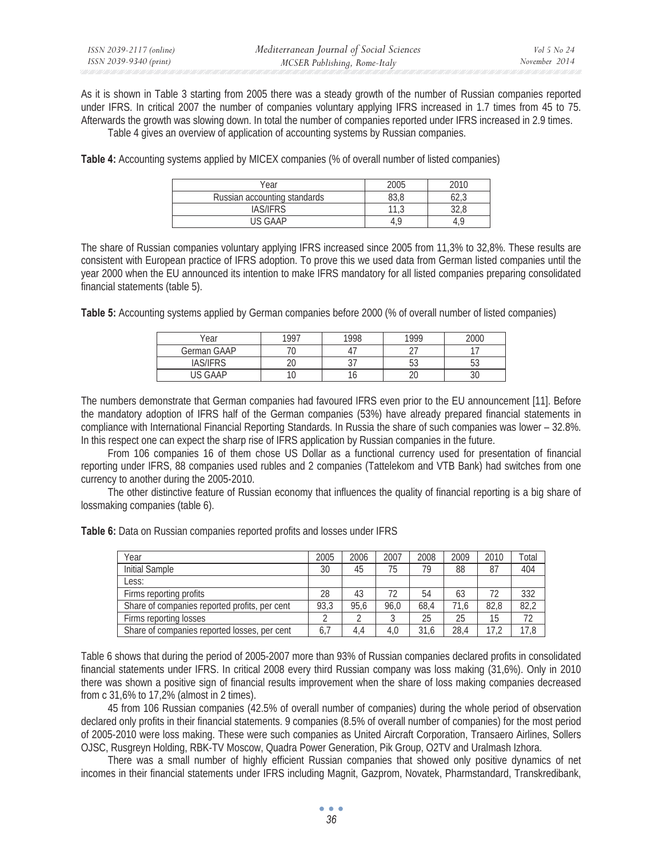As it is shown in Table 3 starting from 2005 there was a steady growth of the number of Russian companies reported under IFRS. In critical 2007 the number of companies voluntary applying IFRS increased in 1.7 times from 45 to 75. Afterwards the growth was slowing down. In total the number of companies reported under IFRS increased in 2.9 times. Table 4 gives an overview of application of accounting systems by Russian companies.

**Table 4:** Accounting systems applied by MICEX companies (% of overall number of listed companies)

| Year                         | 2005 | 2010 |
|------------------------------|------|------|
| Russian accounting standards | UJ,U | 02.J |
| IAS/IFRS                     | ن ا  | しとい  |
| IIS GAAP                     |      |      |

The share of Russian companies voluntary applying IFRS increased since 2005 from 11,3% to 32,8%. These results are consistent with European practice of IFRS adoption. To prove this we used data from German listed companies until the year 2000 when the EU announced its intention to make IFRS mandatory for all listed companies preparing consolidated financial statements (table 5).

**Table 5:** Accounting systems applied by German companies before 2000 (% of overall number of listed companies)

| Year            | 1997   | 1998 | 1999     | 2000 |
|-----------------|--------|------|----------|------|
| German GAAP     |        |      |          |      |
| <b>IAS/IFRS</b> | $\sim$ | ັ    | ц٩<br>JJ | JJ   |
| GAAP            | ט ו    | Ω    | ∠∪       | υU   |

The numbers demonstrate that German companies had favoured IFRS even prior to the EU announcement [11]. Before the mandatory adoption of IFRS half of the German companies (53%) have already prepared financial statements in compliance with International Financial Reporting Standards. In Russia the share of such companies was lower – 32.8%. In this respect one can expect the sharp rise of IFRS application by Russian companies in the future.

From 106 companies 16 of them chose US Dollar as a functional currency used for presentation of financial reporting under IFRS, 88 companies used rubles and 2 companies (Tattelekom and VTB Bank) had switches from one currency to another during the 2005-2010.

The other distinctive feature of Russian economy that influences the quality of financial reporting is a big share of lossmaking companies (table 6).

| Table 6: Data on Russian companies reported profits and losses under IFRS |
|---------------------------------------------------------------------------|
|---------------------------------------------------------------------------|

| Year                                          | 2005 | 2006 | 2007 | 2008 | 2009 | 2010 | Total |
|-----------------------------------------------|------|------|------|------|------|------|-------|
| Initial Sample                                | 30   | 45   | 75   | 79   | 88   | 87   | 404   |
| Less:                                         |      |      |      |      |      |      |       |
| Firms reporting profits                       | 28   | 43   | 72   | 54   | 63   | 72   | 332   |
| Share of companies reported profits, per cent | 93.3 | 95.6 | 96.0 | 68.4 | 71.6 | 82.8 | 82,2  |
| Firms reporting losses                        |      |      |      | 25   | 25   | 15   | 72    |
| Share of companies reported losses, per cent  | 6,7  | 4.4  | 4.0  | 31.6 | 28.4 | 17.2 | 17.8  |

Table 6 shows that during the period of 2005-2007 more than 93% of Russian companies declared profits in consolidated financial statements under IFRS. In critical 2008 every third Russian company was loss making (31,6%). Only in 2010 there was shown a positive sign of financial results improvement when the share of loss making companies decreased from  $c$  31,6% to 17,2% (almost in 2 times).

45 from 106 Russian companies (42.5% of overall number of companies) during the whole period of observation declared only profits in their financial statements. 9 companies (8.5% of overall number of companies) for the most period of 2005-2010 were loss making. These were such companies as United Aircraft Corporation, Transaero Airlines, Sollers OJSC, Rusgreyn Holding, RBK-TV Moscow, Quadra Power Generation, Pik Group, O2TV and Uralmash Izhora.

There was a small number of highly efficient Russian companies that showed only positive dynamics of net incomes in their financial statements under IFRS including Magnit, Gazprom, Novatek, Pharmstandard, Transkredibank,